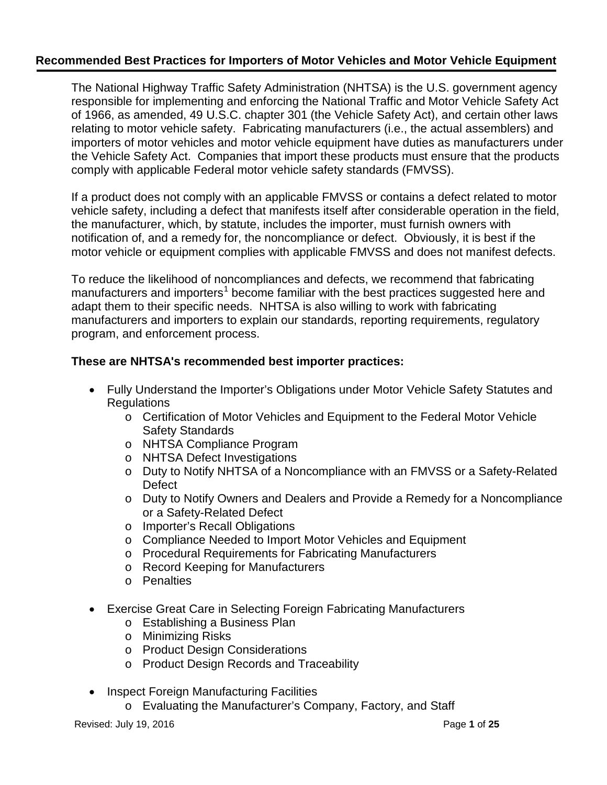The National Highway Traffic Safety Administration (NHTSA) is the U.S. government agency responsible for implementing and enforcing the National Traffic and Motor Vehicle Safety Act of 1966, as amended, 49 U.S.C. chapter 301 (the Vehicle Safety Act), and certain other laws relating to motor vehicle safety. Fabricating manufacturers (i.e., the actual assemblers) and importers of motor vehicles and motor vehicle equipment have duties as manufacturers under the Vehicle Safety Act. Companies that import these products must ensure that the products comply with applicable Federal motor vehicle safety standards (FMVSS).

If a product does not comply with an applicable FMVSS or contains a defect related to motor vehicle safety, including a defect that manifests itself after considerable operation in the field, the manufacturer, which, by statute, includes the importer, must furnish owners with notification of, and a remedy for, the noncompliance or defect. Obviously, it is best if the motor vehicle or equipment complies with applicable FMVSS and does not manifest defects.

To reduce the likelihood of noncompliances and defects, we recommend that fabricating manufacturers and importers<sup>[1](#page-22-0)</sup> become familiar with the best practices suggested here and adapt them to their specific needs. NHTSA is also willing to work with fabricating manufacturers and importers to explain our standards, reporting requirements, regulatory program, and enforcement process.

### **These are NHTSA's recommended best importer practices:**

- Fully Understand the Importer's Obligations under Motor Vehicle Safety Statutes and Regulations
	- o Certification of Motor Vehicles and Equipment to the Federal Motor Vehicle Safety Standards
	- o NHTSA Compliance Program
	- o NHTSA Defect Investigations
	- o Duty to Notify NHTSA of a Noncompliance with an FMVSS or a Safety-Related **Defect**
	- o Duty to Notify Owners and Dealers and Provide a Remedy for a Noncompliance or a Safety-Related Defect
	- o Importer's Recall Obligations
	- o Compliance Needed to Import Motor Vehicles and Equipment
	- o Procedural Requirements for Fabricating Manufacturers
	- o Record Keeping for Manufacturers
	- o Penalties
- Exercise Great Care in Selecting Foreign Fabricating Manufacturers
	- o Establishing a Business Plan
	- o Minimizing Risks
	- o Product Design Considerations
	- o Product Design Records and Traceability
- Inspect Foreign Manufacturing Facilities
	- o Evaluating the Manufacturer's Company, Factory, and Staff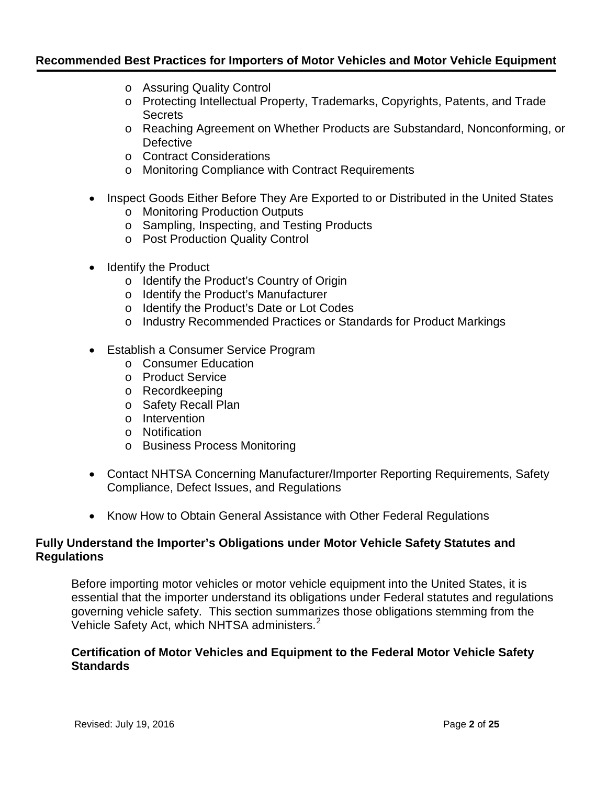- o Assuring Quality Control
- o Protecting Intellectual Property, Trademarks, Copyrights, Patents, and Trade **Secrets**
- o Reaching Agreement on Whether Products are Substandard, Nonconforming, or **Defective**
- o Contract Considerations
- o Monitoring Compliance with Contract Requirements
- Inspect Goods Either Before They Are Exported to or Distributed in the United States
	- o Monitoring Production Outputs
	- o Sampling, Inspecting, and Testing Products
	- o Post Production Quality Control
- Identify the Product
	- o Identify the Product's Country of Origin
	- o Identify the Product's Manufacturer
	- o Identify the Product's Date or Lot Codes
	- o Industry Recommended Practices or Standards for Product Markings
- Establish a Consumer Service Program
	- o Consumer Education
	- o Product Service
	- o Recordkeeping
	- o Safety Recall Plan
	- o Intervention
	- o Notification
	- o Business Process Monitoring
- Contact NHTSA Concerning Manufacturer/Importer Reporting Requirements, Safety Compliance, Defect Issues, and Regulations
- Know How to Obtain General Assistance with Other Federal Regulations

### **Fully Understand the Importer's Obligations under Motor Vehicle Safety Statutes and Regulations**

Before importing motor vehicles or motor vehicle equipment into the United States, it is essential that the importer understand its obligations under Federal statutes and regulations governing vehicle safety. This section summarizes those obligations stemming from the Vehicle Safety Act, which NHTSA administers.<sup>[2](#page-22-1)</sup>

#### **Certification of Motor Vehicles and Equipment to the Federal Motor Vehicle Safety Standards**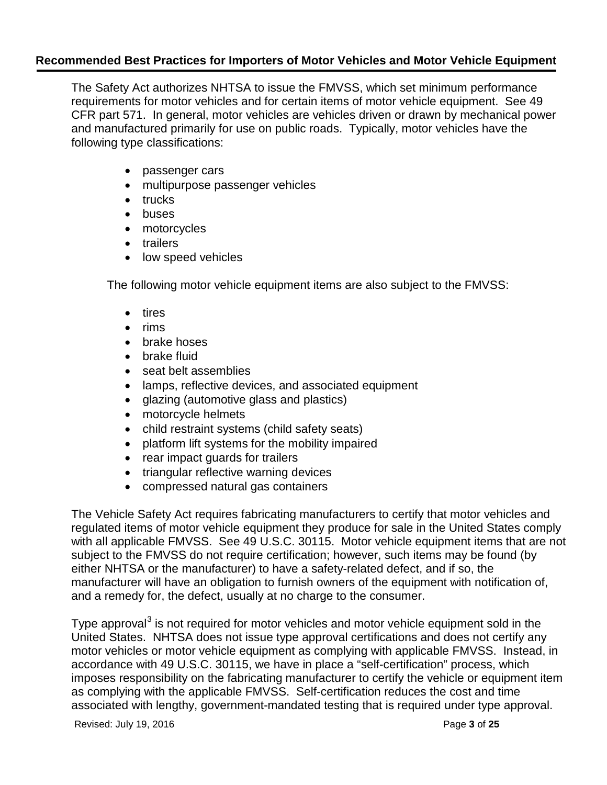The Safety Act authorizes NHTSA to issue the FMVSS, which set minimum performance requirements for motor vehicles and for certain items of motor vehicle equipment. See 49 CFR part 571. In general, motor vehicles are vehicles driven or drawn by mechanical power and manufactured primarily for use on public roads. Typically, motor vehicles have the following type classifications:

- passenger cars
- multipurpose passenger vehicles
- trucks
- buses
- motorcycles
- trailers
- low speed vehicles

The following motor vehicle equipment items are also subject to the FMVSS:

- tires
- rims
- brake hoses
- brake fluid
- seat belt assemblies
- lamps, reflective devices, and associated equipment
- glazing (automotive glass and plastics)
- motorcycle helmets
- child restraint systems (child safety seats)
- platform lift systems for the mobility impaired
- rear impact guards for trailers
- triangular reflective warning devices
- compressed natural gas containers

The Vehicle Safety Act requires fabricating manufacturers to certify that motor vehicles and regulated items of motor vehicle equipment they produce for sale in the United States comply with all applicable FMVSS. See 49 U.S.C. 30115. Motor vehicle equipment items that are not subject to the FMVSS do not require certification; however, such items may be found (by either NHTSA or the manufacturer) to have a safety-related defect, and if so, the manufacturer will have an obligation to furnish owners of the equipment with notification of, and a remedy for, the defect, usually at no charge to the consumer.

Type approval<sup>[3](#page-23-0)</sup> is not required for motor vehicles and motor vehicle equipment sold in the United States. NHTSA does not issue type approval certifications and does not certify any motor vehicles or motor vehicle equipment as complying with applicable FMVSS. Instead, in accordance with 49 U.S.C. 30115, we have in place a "self-certification" process, which imposes responsibility on the fabricating manufacturer to certify the vehicle or equipment item as complying with the applicable FMVSS. Self-certification reduces the cost and time associated with lengthy, government-mandated testing that is required under type approval.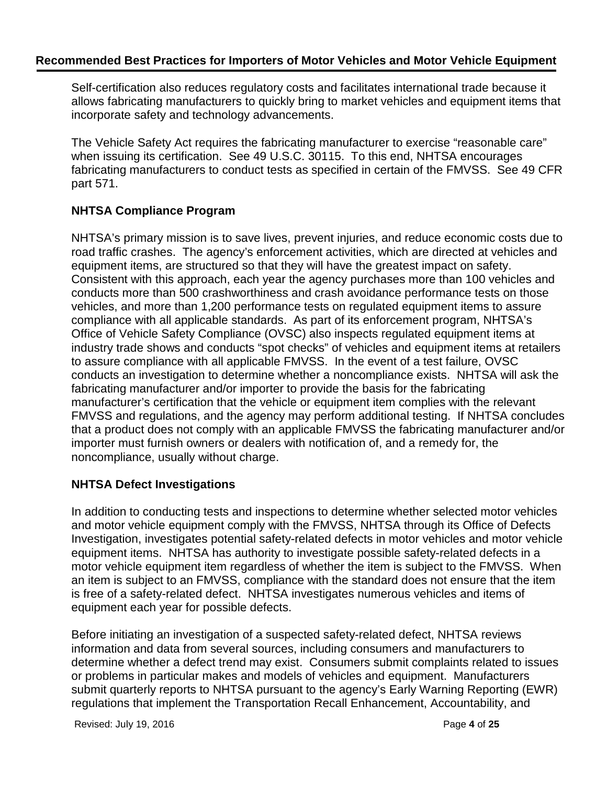Self-certification also reduces regulatory costs and facilitates international trade because it allows fabricating manufacturers to quickly bring to market vehicles and equipment items that incorporate safety and technology advancements.

The Vehicle Safety Act requires the fabricating manufacturer to exercise "reasonable care" when issuing its certification. See 49 U.S.C. 30115. To this end, NHTSA encourages fabricating manufacturers to conduct tests as specified in certain of the FMVSS. See 49 CFR part 571.

# **NHTSA Compliance Program**

NHTSA's primary mission is to save lives, prevent injuries, and reduce economic costs due to road traffic crashes. The agency's enforcement activities, which are directed at vehicles and equipment items, are structured so that they will have the greatest impact on safety. Consistent with this approach, each year the agency purchases more than 100 vehicles and conducts more than 500 crashworthiness and crash avoidance performance tests on those vehicles, and more than 1,200 performance tests on regulated equipment items to assure compliance with all applicable standards. As part of its enforcement program, NHTSA's Office of Vehicle Safety Compliance (OVSC) also inspects regulated equipment items at industry trade shows and conducts "spot checks" of vehicles and equipment items at retailers to assure compliance with all applicable FMVSS. In the event of a test failure, OVSC conducts an investigation to determine whether a noncompliance exists. NHTSA will ask the fabricating manufacturer and/or importer to provide the basis for the fabricating manufacturer's certification that the vehicle or equipment item complies with the relevant FMVSS and regulations, and the agency may perform additional testing. If NHTSA concludes that a product does not comply with an applicable FMVSS the fabricating manufacturer and/or importer must furnish owners or dealers with notification of, and a remedy for, the noncompliance, usually without charge.

### **NHTSA Defect Investigations**

In addition to conducting tests and inspections to determine whether selected motor vehicles and motor vehicle equipment comply with the FMVSS, NHTSA through its Office of Defects Investigation, investigates potential safety-related defects in motor vehicles and motor vehicle equipment items. NHTSA has authority to investigate possible safety-related defects in a motor vehicle equipment item regardless of whether the item is subject to the FMVSS. When an item is subject to an FMVSS, compliance with the standard does not ensure that the item is free of a safety-related defect. NHTSA investigates numerous vehicles and items of equipment each year for possible defects.

Before initiating an investigation of a suspected safety-related defect, NHTSA reviews information and data from several sources, including consumers and manufacturers to determine whether a defect trend may exist. Consumers submit complaints related to issues or problems in particular makes and models of vehicles and equipment. Manufacturers submit quarterly reports to NHTSA pursuant to the agency's Early Warning Reporting (EWR) regulations that implement the Transportation Recall Enhancement, Accountability, and

Revised: July 19, 2016 Page **4** of **25**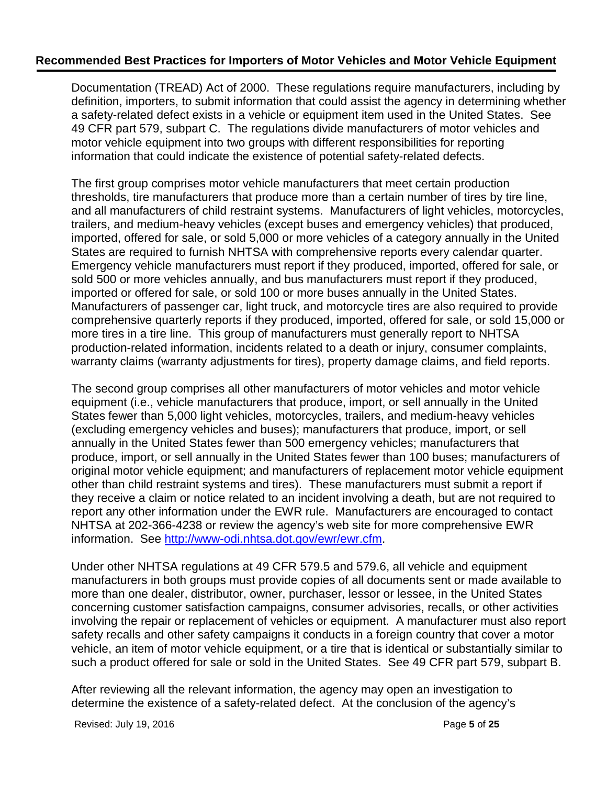Documentation (TREAD) Act of 2000. These regulations require manufacturers, including by definition, importers, to submit information that could assist the agency in determining whether a safety-related defect exists in a vehicle or equipment item used in the United States. See 49 CFR part 579, subpart C. The regulations divide manufacturers of motor vehicles and motor vehicle equipment into two groups with different responsibilities for reporting information that could indicate the existence of potential safety-related defects.

The first group comprises motor vehicle manufacturers that meet certain production thresholds, tire manufacturers that produce more than a certain number of tires by tire line, and all manufacturers of child restraint systems. Manufacturers of light vehicles, motorcycles, trailers, and medium-heavy vehicles (except buses and emergency vehicles) that produced, imported, offered for sale, or sold 5,000 or more vehicles of a category annually in the United States are required to furnish NHTSA with comprehensive reports every calendar quarter. Emergency vehicle manufacturers must report if they produced, imported, offered for sale, or sold 500 or more vehicles annually, and bus manufacturers must report if they produced, imported or offered for sale, or sold 100 or more buses annually in the United States. Manufacturers of passenger car, light truck, and motorcycle tires are also required to provide comprehensive quarterly reports if they produced, imported, offered for sale, or sold 15,000 or more tires in a tire line. This group of manufacturers must generally report to NHTSA production-related information, incidents related to a death or injury, consumer complaints, warranty claims (warranty adjustments for tires), property damage claims, and field reports.

The second group comprises all other manufacturers of motor vehicles and motor vehicle equipment (i.e., vehicle manufacturers that produce, import, or sell annually in the United States fewer than 5,000 light vehicles, motorcycles, trailers, and medium-heavy vehicles (excluding emergency vehicles and buses); manufacturers that produce, import, or sell annually in the United States fewer than 500 emergency vehicles; manufacturers that produce, import, or sell annually in the United States fewer than 100 buses; manufacturers of original motor vehicle equipment; and manufacturers of replacement motor vehicle equipment other than child restraint systems and tires). These manufacturers must submit a report if they receive a claim or notice related to an incident involving a death, but are not required to report any other information under the EWR rule. Manufacturers are encouraged to contact NHTSA at 202-366-4238 or review the agency's web site for more comprehensive EWR information. See [http://www-odi.nhtsa.dot.gov/ewr/ewr.cfm.](http://www-odi.nhtsa.dot.gov/ewr/ewr.cfm)

Under other NHTSA regulations at 49 CFR 579.5 and 579.6, all vehicle and equipment manufacturers in both groups must provide copies of all documents sent or made available to more than one dealer, distributor, owner, purchaser, lessor or lessee, in the United States concerning customer satisfaction campaigns, consumer advisories, recalls, or other activities involving the repair or replacement of vehicles or equipment. A manufacturer must also report safety recalls and other safety campaigns it conducts in a foreign country that cover a motor vehicle, an item of motor vehicle equipment, or a tire that is identical or substantially similar to such a product offered for sale or sold in the United States. See 49 CFR part 579, subpart B.

After reviewing all the relevant information, the agency may open an investigation to determine the existence of a safety-related defect. At the conclusion of the agency's

Revised: July 19, 2016 Page **5** of **25**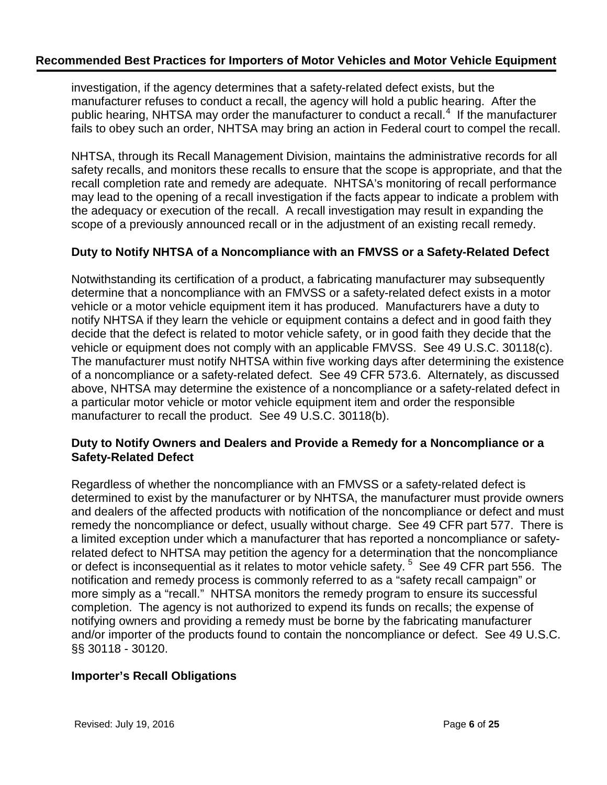investigation, if the agency determines that a safety-related defect exists, but the manufacturer refuses to conduct a recall, the agency will hold a public hearing. After the public hearing, NHTSA may order the manufacturer to conduct a recall.<sup>[4](#page-24-0)</sup> If the manufacturer fails to obey such an order, NHTSA may bring an action in Federal court to compel the recall.

NHTSA, through its Recall Management Division, maintains the administrative records for all safety recalls, and monitors these recalls to ensure that the scope is appropriate, and that the recall completion rate and remedy are adequate. NHTSA's monitoring of recall performance may lead to the opening of a recall investigation if the facts appear to indicate a problem with the adequacy or execution of the recall. A recall investigation may result in expanding the scope of a previously announced recall or in the adjustment of an existing recall remedy.

### **Duty to Notify NHTSA of a Noncompliance with an FMVSS or a Safety-Related Defect**

Notwithstanding its certification of a product, a fabricating manufacturer may subsequently determine that a noncompliance with an FMVSS or a safety-related defect exists in a motor vehicle or a motor vehicle equipment item it has produced. Manufacturers have a duty to notify NHTSA if they learn the vehicle or equipment contains a defect and in good faith they decide that the defect is related to motor vehicle safety, or in good faith they decide that the vehicle or equipment does not comply with an applicable FMVSS. See 49 U.S.C. 30118(c). The manufacturer must notify NHTSA within five working days after determining the existence of a noncompliance or a safety-related defect. See 49 CFR 573.6. Alternately, as discussed above, NHTSA may determine the existence of a noncompliance or a safety-related defect in a particular motor vehicle or motor vehicle equipment item and order the responsible manufacturer to recall the product. See 49 U.S.C. 30118(b).

### **Duty to Notify Owners and Dealers and Provide a Remedy for a Noncompliance or a Safety-Related Defect**

Regardless of whether the noncompliance with an FMVSS or a safety-related defect is determined to exist by the manufacturer or by NHTSA, the manufacturer must provide owners and dealers of the affected products with notification of the noncompliance or defect and must remedy the noncompliance or defect, usually without charge. See 49 CFR part 577. There is a limited exception under which a manufacturer that has reported a noncompliance or safetyrelated defect to NHTSA may petition the agency for a determination that the noncompliance or defect is inconsequential as it relates to motor vehicle safety.  $5$  See 49 CFR part 556. The notification and remedy process is commonly referred to as a "safety recall campaign" or more simply as a "recall." NHTSA monitors the remedy program to ensure its successful completion. The agency is not authorized to expend its funds on recalls; the expense of notifying owners and providing a remedy must be borne by the fabricating manufacturer and/or importer of the products found to contain the noncompliance or defect. See 49 U.S.C. §§ 30118 - 30120.

### **Importer's Recall Obligations**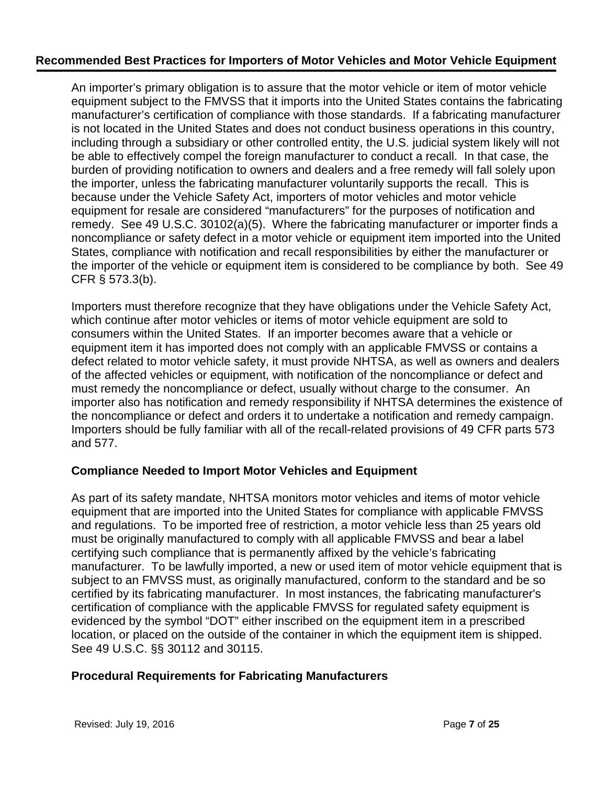An importer's primary obligation is to assure that the motor vehicle or item of motor vehicle equipment subject to the FMVSS that it imports into the United States contains the fabricating manufacturer's certification of compliance with those standards. If a fabricating manufacturer is not located in the United States and does not conduct business operations in this country, including through a subsidiary or other controlled entity, the U.S. judicial system likely will not be able to effectively compel the foreign manufacturer to conduct a recall. In that case, the burden of providing notification to owners and dealers and a free remedy will fall solely upon the importer, unless the fabricating manufacturer voluntarily supports the recall. This is because under the Vehicle Safety Act, importers of motor vehicles and motor vehicle equipment for resale are considered "manufacturers" for the purposes of notification and remedy. See 49 U.S.C. 30102(a)(5). Where the fabricating manufacturer or importer finds a noncompliance or safety defect in a motor vehicle or equipment item imported into the United States, compliance with notification and recall responsibilities by either the manufacturer or the importer of the vehicle or equipment item is considered to be compliance by both. See 49 CFR § 573.3(b).

Importers must therefore recognize that they have obligations under the Vehicle Safety Act, which continue after motor vehicles or items of motor vehicle equipment are sold to consumers within the United States. If an importer becomes aware that a vehicle or equipment item it has imported does not comply with an applicable FMVSS or contains a defect related to motor vehicle safety, it must provide NHTSA, as well as owners and dealers of the affected vehicles or equipment, with notification of the noncompliance or defect and must remedy the noncompliance or defect, usually without charge to the consumer. An importer also has notification and remedy responsibility if NHTSA determines the existence of the noncompliance or defect and orders it to undertake a notification and remedy campaign. Importers should be fully familiar with all of the recall-related provisions of 49 CFR parts 573 and 577.

### **Compliance Needed to Import Motor Vehicles and Equipment**

As part of its safety mandate, NHTSA monitors motor vehicles and items of motor vehicle equipment that are imported into the United States for compliance with applicable FMVSS and regulations. To be imported free of restriction, a motor vehicle less than 25 years old must be originally manufactured to comply with all applicable FMVSS and bear a label certifying such compliance that is permanently affixed by the vehicle's fabricating manufacturer. To be lawfully imported, a new or used item of motor vehicle equipment that is subject to an FMVSS must, as originally manufactured, conform to the standard and be so certified by its fabricating manufacturer. In most instances, the fabricating manufacturer's certification of compliance with the applicable FMVSS for regulated safety equipment is evidenced by the symbol "DOT" either inscribed on the equipment item in a prescribed location, or placed on the outside of the container in which the equipment item is shipped. See 49 U.S.C. §§ 30112 and 30115.

### **Procedural Requirements for Fabricating Manufacturers**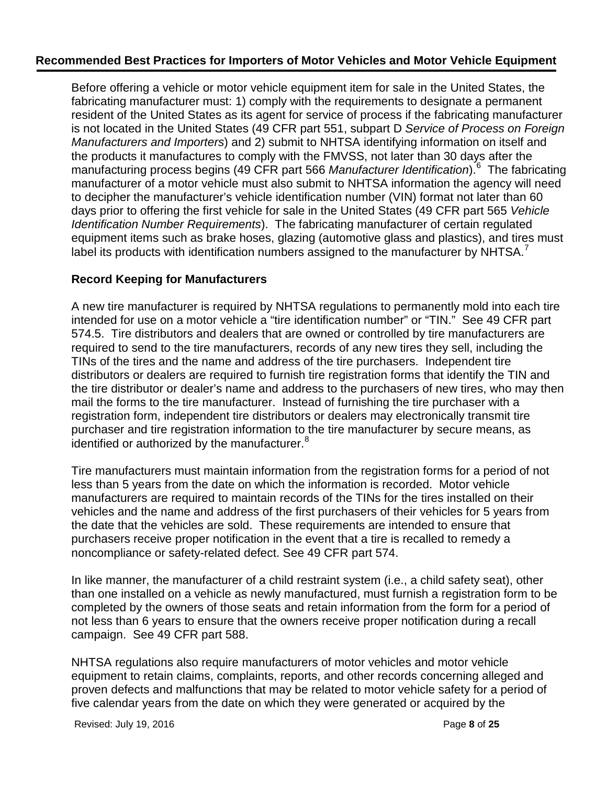Before offering a vehicle or motor vehicle equipment item for sale in the United States, the fabricating manufacturer must: 1) comply with the requirements to designate a permanent resident of the United States as its agent for service of process if the fabricating manufacturer is not located in the United States (49 CFR part 551, subpart D *Service of Process on Foreign Manufacturers and Importers*) and 2) submit to NHTSA identifying information on itself and the products it manufactures to comply with the FMVSS, not later than 30 days after the manufacturing process begins (49 CFR part 5[6](#page-24-2)6 Manufacturer Identification).<sup>6</sup> The fabricating manufacturer of a motor vehicle must also submit to NHTSA information the agency will need to decipher the manufacturer's vehicle identification number (VIN) format not later than 60 days prior to offering the first vehicle for sale in the United States (49 CFR part 565 *Vehicle Identification Number Requirements*). The fabricating manufacturer of certain regulated equipment items such as brake hoses, glazing (automotive glass and plastics), and tires must label its products with identification numbers assigned to the manufacturer by NHTSA.<sup>[7](#page-24-3)</sup>

### **Record Keeping for Manufacturers**

A new tire manufacturer is required by NHTSA regulations to permanently mold into each tire intended for use on a motor vehicle a "tire identification number" or "TIN." See 49 CFR part 574.5. Tire distributors and dealers that are owned or controlled by tire manufacturers are required to send to the tire manufacturers, records of any new tires they sell, including the TINs of the tires and the name and address of the tire purchasers. Independent tire distributors or dealers are required to furnish tire registration forms that identify the TIN and the tire distributor or dealer's name and address to the purchasers of new tires, who may then mail the forms to the tire manufacturer. Instead of furnishing the tire purchaser with a registration form, independent tire distributors or dealers may electronically transmit tire purchaser and tire registration information to the tire manufacturer by secure means, as identified or authorized by the manufacturer.<sup>[8](#page-24-4)</sup>

Tire manufacturers must maintain information from the registration forms for a period of not less than 5 years from the date on which the information is recorded. Motor vehicle manufacturers are required to maintain records of the TINs for the tires installed on their vehicles and the name and address of the first purchasers of their vehicles for 5 years from the date that the vehicles are sold. These requirements are intended to ensure that purchasers receive proper notification in the event that a tire is recalled to remedy a noncompliance or safety-related defect. See 49 CFR part 574.

In like manner, the manufacturer of a child restraint system (i.e., a child safety seat), other than one installed on a vehicle as newly manufactured, must furnish a registration form to be completed by the owners of those seats and retain information from the form for a period of not less than 6 years to ensure that the owners receive proper notification during a recall campaign. See 49 CFR part 588.

NHTSA regulations also require manufacturers of motor vehicles and motor vehicle equipment to retain claims, complaints, reports, and other records concerning alleged and proven defects and malfunctions that may be related to motor vehicle safety for a period of five calendar years from the date on which they were generated or acquired by the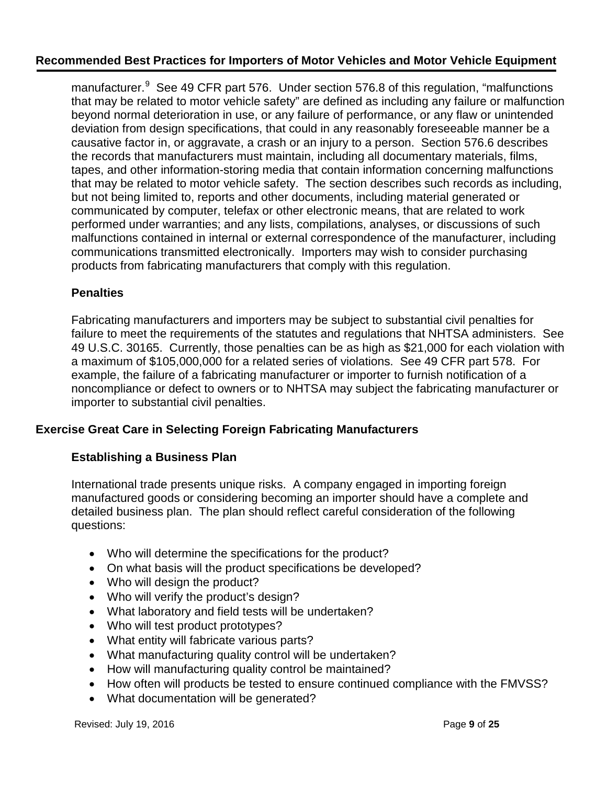manufacturer.<sup>[9](#page-24-5)</sup> See 49 CFR part 576. Under section 576.8 of this regulation, "malfunctions that may be related to motor vehicle safety" are defined as including any failure or malfunction beyond normal deterioration in use, or any failure of performance, or any flaw or unintended deviation from design specifications, that could in any reasonably foreseeable manner be a causative factor in, or aggravate, a crash or an injury to a person. Section 576.6 describes the records that manufacturers must maintain, including all documentary materials, films, tapes, and other information-storing media that contain information concerning malfunctions that may be related to motor vehicle safety. The section describes such records as including, but not being limited to, reports and other documents, including material generated or communicated by computer, telefax or other electronic means, that are related to work performed under warranties; and any lists, compilations, analyses, or discussions of such malfunctions contained in internal or external correspondence of the manufacturer, including communications transmitted electronically. Importers may wish to consider purchasing products from fabricating manufacturers that comply with this regulation.

## **Penalties**

Fabricating manufacturers and importers may be subject to substantial civil penalties for failure to meet the requirements of the statutes and regulations that NHTSA administers. See 49 U.S.C. 30165. Currently, those penalties can be as high as \$21,000 for each violation with a maximum of \$105,000,000 for a related series of violations. See 49 CFR part 578. For example, the failure of a fabricating manufacturer or importer to furnish notification of a noncompliance or defect to owners or to NHTSA may subject the fabricating manufacturer or importer to substantial civil penalties.

# **Exercise Great Care in Selecting Foreign Fabricating Manufacturers**

### **Establishing a Business Plan**

International trade presents unique risks. A company engaged in importing foreign manufactured goods or considering becoming an importer should have a complete and detailed business plan. The plan should reflect careful consideration of the following questions:

- Who will determine the specifications for the product?
- On what basis will the product specifications be developed?
- Who will design the product?
- Who will verify the product's design?
- What laboratory and field tests will be undertaken?
- Who will test product prototypes?
- What entity will fabricate various parts?
- What manufacturing quality control will be undertaken?
- How will manufacturing quality control be maintained?
- How often will products be tested to ensure continued compliance with the FMVSS?
- What documentation will be generated?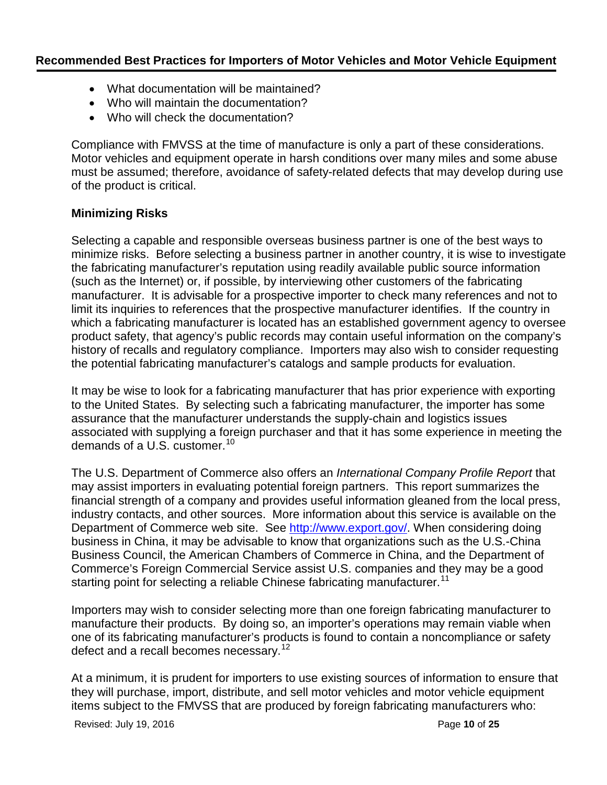- What documentation will be maintained?
- Who will maintain the documentation?
- Who will check the documentation?

Compliance with FMVSS at the time of manufacture is only a part of these considerations. Motor vehicles and equipment operate in harsh conditions over many miles and some abuse must be assumed; therefore, avoidance of safety-related defects that may develop during use of the product is critical.

### **Minimizing Risks**

Selecting a capable and responsible overseas business partner is one of the best ways to minimize risks. Before selecting a business partner in another country, it is wise to investigate the fabricating manufacturer's reputation using readily available public source information (such as the Internet) or, if possible, by interviewing other customers of the fabricating manufacturer. It is advisable for a prospective importer to check many references and not to limit its inquiries to references that the prospective manufacturer identifies. If the country in which a fabricating manufacturer is located has an established government agency to oversee product safety, that agency's public records may contain useful information on the company's history of recalls and regulatory compliance. Importers may also wish to consider requesting the potential fabricating manufacturer's catalogs and sample products for evaluation.

It may be wise to look for a fabricating manufacturer that has prior experience with exporting to the United States. By selecting such a fabricating manufacturer, the importer has some assurance that the manufacturer understands the supply-chain and logistics issues associated with supplying a foreign purchaser and that it has some experience in meeting the demands of a U.S. customer.<sup>[10](#page-24-6)</sup>

The U.S. Department of Commerce also offers an *International Company Profile Report* that may assist importers in evaluating potential foreign partners. This report summarizes the financial strength of a company and provides useful information gleaned from the local press, industry contacts, and other sources. More information about this service is available on the Department of Commerce web site. See [http://www.export.gov/.](http://www.export.gov/) When considering doing business in China, it may be advisable to know that organizations such as the U.S.-China Business Council, the American Chambers of Commerce in China, and the Department of Commerce's Foreign Commercial Service assist U.S. companies and they may be a good starting point for selecting a reliable Chinese fabricating manufacturer.<sup>[11](#page-24-7)</sup>

Importers may wish to consider selecting more than one foreign fabricating manufacturer to manufacture their products. By doing so, an importer's operations may remain viable when one of its fabricating manufacturer's products is found to contain a noncompliance or safety defect and a recall becomes necessary.<sup>[12](#page-24-8)</sup>

At a minimum, it is prudent for importers to use existing sources of information to ensure that they will purchase, import, distribute, and sell motor vehicles and motor vehicle equipment items subject to the FMVSS that are produced by foreign fabricating manufacturers who:

Revised: July 19, 2016 **Page 10** of **25 Page 10** of **25**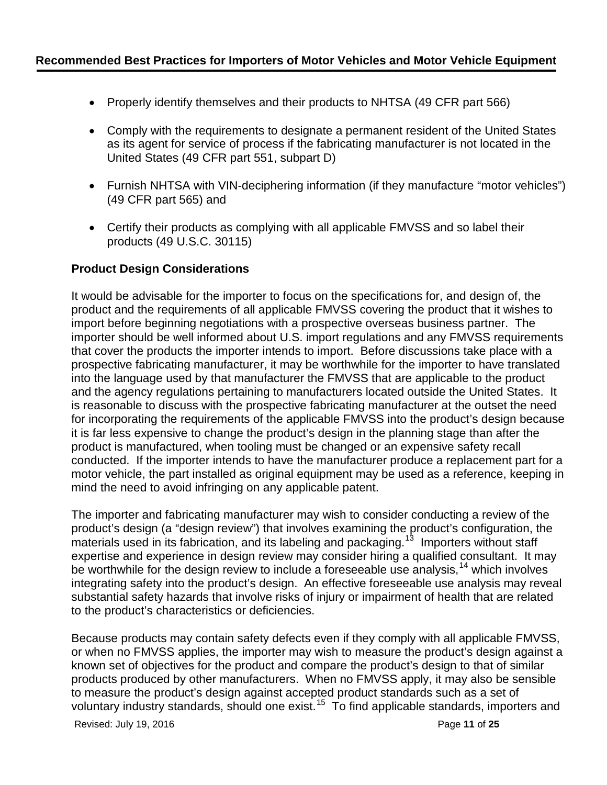- Properly identify themselves and their products to NHTSA (49 CFR part 566)
- Comply with the requirements to designate a permanent resident of the United States as its agent for service of process if the fabricating manufacturer is not located in the United States (49 CFR part 551, subpart D)
- Furnish NHTSA with VIN-deciphering information (if they manufacture "motor vehicles") (49 CFR part 565) and
- Certify their products as complying with all applicable FMVSS and so label their products (49 U.S.C. 30115)

## **Product Design Considerations**

It would be advisable for the importer to focus on the specifications for, and design of, the product and the requirements of all applicable FMVSS covering the product that it wishes to import before beginning negotiations with a prospective overseas business partner. The importer should be well informed about U.S. import regulations and any FMVSS requirements that cover the products the importer intends to import. Before discussions take place with a prospective fabricating manufacturer, it may be worthwhile for the importer to have translated into the language used by that manufacturer the FMVSS that are applicable to the product and the agency regulations pertaining to manufacturers located outside the United States. It is reasonable to discuss with the prospective fabricating manufacturer at the outset the need for incorporating the requirements of the applicable FMVSS into the product's design because it is far less expensive to change the product's design in the planning stage than after the product is manufactured, when tooling must be changed or an expensive safety recall conducted. If the importer intends to have the manufacturer produce a replacement part for a motor vehicle, the part installed as original equipment may be used as a reference, keeping in mind the need to avoid infringing on any applicable patent.

The importer and fabricating manufacturer may wish to consider conducting a review of the product's design (a "design review") that involves examining the product's configuration, the  $\overline{\phantom{a}}$  materials used in its fabrication, and its labeling and packaging.<sup>13</sup> Importers without staff expertise and experience in design review may consider hiring a qualified consultant. It may be worthwhile for the design review to include a foreseeable use analysis,  $14$  which involves integrating safety into the product's design. An effective foreseeable use analysis may reveal substantial safety hazards that involve risks of injury or impairment of health that are related to the product's characteristics or deficiencies.

Because products may contain safety defects even if they comply with all applicable FMVSS, or when no FMVSS applies, the importer may wish to measure the product's design against a known set of objectives for the product and compare the product's design to that of similar products produced by other manufacturers. When no FMVSS apply, it may also be sensible to measure the product's design against accepted product standards such as a set of voluntary industry standards, should one exist.[15](#page-24-11) To find applicable standards, importers and

Revised: July 19, 2016 **Page 11** of **25** Page 11 of **25**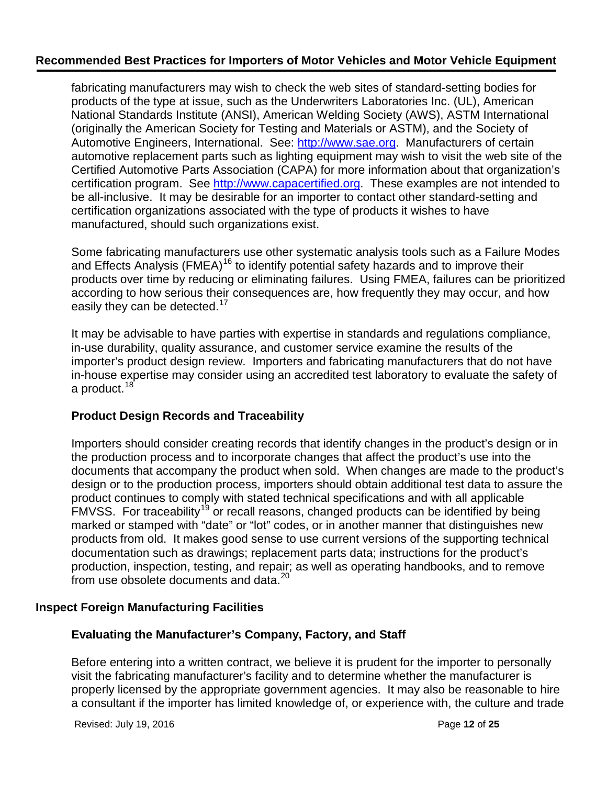fabricating manufacturers may wish to check the web sites of standard-setting bodies for products of the type at issue, such as the Underwriters Laboratories Inc. (UL), American National Standards Institute (ANSI), American Welding Society (AWS), ASTM International (originally the American Society for Testing and Materials or ASTM), and the Society of Automotive Engineers, International. See: [http://www.sae.org.](http://www.sae.org/) Manufacturers of certain automotive replacement parts such as lighting equipment may wish to visit the web site of the Certified Automotive Parts Association (CAPA) for more information about that organization's certification program. See [http://www.capacertified.org.](http://www.capacertified.org/) These examples are not intended to be all-inclusive. It may be desirable for an importer to contact other standard-setting and certification organizations associated with the type of products it wishes to have manufactured, should such organizations exist.

Some fabricating manufacturers use other systematic analysis tools such as a Failure Modes and Effects Analysis (FMEA)<sup>[16](#page-24-12)</sup> to identify potential safety hazards and to improve their products over time by reducing or eliminating failures. Using FMEA, failures can be prioritized according to how serious their consequences are, how frequently they may occur, and how easily they can be detected.<sup>[17](#page-24-13)</sup>

It may be advisable to have parties with expertise in standards and regulations compliance, in-use durability, quality assurance, and customer service examine the results of the importer's product design review. Importers and fabricating manufacturers that do not have in-house expertise may consider using an accredited test laboratory to evaluate the safety of a product.<sup>[18](#page-24-14)</sup>

# **Product Design Records and Traceability**

Importers should consider creating records that identify changes in the product's design or in the production process and to incorporate changes that affect the product's use into the documents that accompany the product when sold. When changes are made to the product's design or to the production process, importers should obtain additional test data to assure the product continues to comply with stated technical specifications and with all applicable FMVSS. For traceability<sup>[19](#page-24-15)</sup> or recall reasons, changed products can be identified by being marked or stamped with "date" or "lot" codes, or in another manner that distinguishes new products from old. It makes good sense to use current versions of the supporting technical documentation such as drawings; replacement parts data; instructions for the product's production, inspection, testing, and repair; as well as operating handbooks, and to remove from use obsolete documents and data.<sup>[20](#page-24-16)</sup>

### **Inspect Foreign Manufacturing Facilities**

### **Evaluating the Manufacturer's Company, Factory, and Staff**

Before entering into a written contract, we believe it is prudent for the importer to personally visit the fabricating manufacturer's facility and to determine whether the manufacturer is properly licensed by the appropriate government agencies. It may also be reasonable to hire a consultant if the importer has limited knowledge of, or experience with, the culture and trade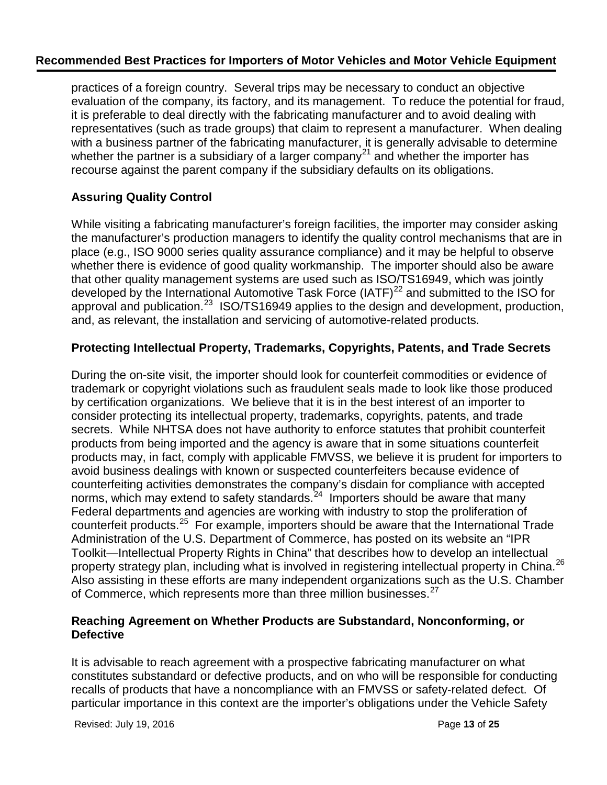practices of a foreign country. Several trips may be necessary to conduct an objective evaluation of the company, its factory, and its management. To reduce the potential for fraud, it is preferable to deal directly with the fabricating manufacturer and to avoid dealing with representatives (such as trade groups) that claim to represent a manufacturer. When dealing with a business partner of the fabricating manufacturer, it is generally advisable to determine whether the partner is a subsidiary of a larger company<sup>[21](#page-24-17)</sup> and whether the importer has recourse against the parent company if the subsidiary defaults on its obligations.

# **Assuring Quality Control**

While visiting a fabricating manufacturer's foreign facilities, the importer may consider asking the manufacturer's production managers to identify the quality control mechanisms that are in place (e.g., ISO 9000 series quality assurance compliance) and it may be helpful to observe whether there is evidence of good quality workmanship. The importer should also be aware that other quality management systems are used such as ISO/TS16949, which was jointly developed by the International Automotive Task Force (IATF)<sup>[22](#page-24-18)</sup> and submitted to the ISO for approval and publication.<sup>23</sup> ISO/TS16949 applies to the design and development, production, and, as relevant, the installation and servicing of automotive-related products.

## **Protecting Intellectual Property, Trademarks, Copyrights, Patents, and Trade Secrets**

During the on-site visit, the importer should look for counterfeit commodities or evidence of trademark or copyright violations such as fraudulent seals made to look like those produced by certification organizations. We believe that it is in the best interest of an importer to consider protecting its intellectual property, trademarks, copyrights, patents, and trade secrets. While NHTSA does not have authority to enforce statutes that prohibit counterfeit products from being imported and the agency is aware that in some situations counterfeit products may, in fact, comply with applicable FMVSS, we believe it is prudent for importers to avoid business dealings with known or suspected counterfeiters because evidence of counterfeiting activities demonstrates the company's disdain for compliance with accepted norms, which may extend to safety standards. $24$  Importers should be aware that many Federal departments and agencies are working with industry to stop the proliferation of counterfeit products.[25](#page-24-20) For example, importers should be aware that the International Trade Administration of the U.S. Department of Commerce, has posted on its website an "IPR Toolkit—Intellectual Property Rights in China" that describes how to develop an intellectual property strategy plan, including what is involved in registering intellectual property in China.<sup>26</sup> Also assisting in these efforts are many independent organizations such as the U.S. Chamber of Commerce, which represents more than three million businesses.<sup>[27](#page-24-21)</sup>

### **Reaching Agreement on Whether Products are Substandard, Nonconforming, or Defective**

It is advisable to reach agreement with a prospective fabricating manufacturer on what constitutes substandard or defective products, and on who will be responsible for conducting recalls of products that have a noncompliance with an FMVSS or safety-related defect. Of particular importance in this context are the importer's obligations under the Vehicle Safety

Revised: July 19, 2016 **Page 13** of **25 Page 13** of **25**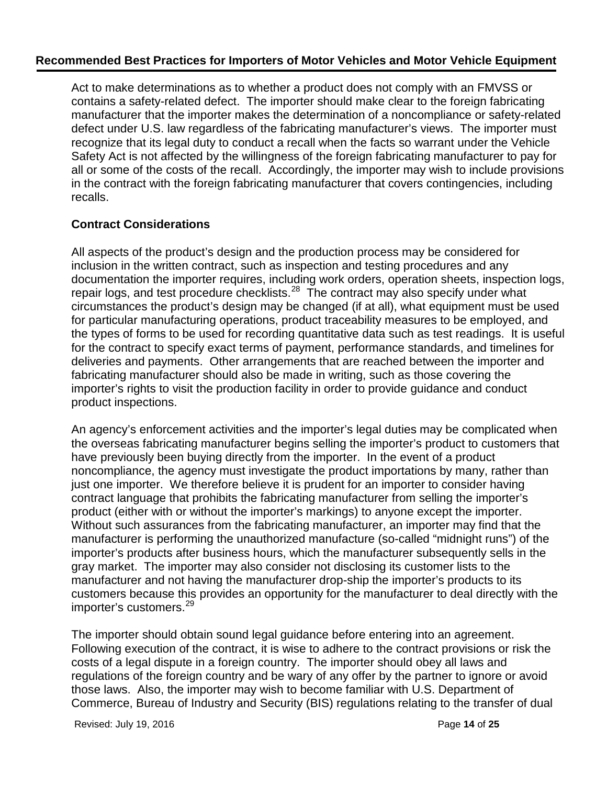Act to make determinations as to whether a product does not comply with an FMVSS or contains a safety-related defect. The importer should make clear to the foreign fabricating manufacturer that the importer makes the determination of a noncompliance or safety-related defect under U.S. law regardless of the fabricating manufacturer's views. The importer must recognize that its legal duty to conduct a recall when the facts so warrant under the Vehicle Safety Act is not affected by the willingness of the foreign fabricating manufacturer to pay for all or some of the costs of the recall. Accordingly, the importer may wish to include provisions in the contract with the foreign fabricating manufacturer that covers contingencies, including recalls.

## **Contract Considerations**

All aspects of the product's design and the production process may be considered for inclusion in the written contract, such as inspection and testing procedures and any documentation the importer requires, including work orders, operation sheets, inspection logs, repair logs, and test procedure checklists.<sup>28</sup> The contract may also specify under what circumstances the product's design may be changed (if at all), what equipment must be used for particular manufacturing operations, product traceability measures to be employed, and the types of forms to be used for recording quantitative data such as test readings. It is useful for the contract to specify exact terms of payment, performance standards, and timelines for deliveries and payments. Other arrangements that are reached between the importer and fabricating manufacturer should also be made in writing, such as those covering the importer's rights to visit the production facility in order to provide guidance and conduct product inspections.

An agency's enforcement activities and the importer's legal duties may be complicated when the overseas fabricating manufacturer begins selling the importer's product to customers that have previously been buying directly from the importer. In the event of a product noncompliance, the agency must investigate the product importations by many, rather than just one importer. We therefore believe it is prudent for an importer to consider having contract language that prohibits the fabricating manufacturer from selling the importer's product (either with or without the importer's markings) to anyone except the importer. Without such assurances from the fabricating manufacturer, an importer may find that the manufacturer is performing the unauthorized manufacture (so-called "midnight runs") of the importer's products after business hours, which the manufacturer subsequently sells in the gray market. The importer may also consider not disclosing its customer lists to the manufacturer and not having the manufacturer drop-ship the importer's products to its customers because this provides an opportunity for the manufacturer to deal directly with the importer's customers.<sup>[29](#page-24-5)</sup>

The importer should obtain sound legal guidance before entering into an agreement. Following execution of the contract, it is wise to adhere to the contract provisions or risk the costs of a legal dispute in a foreign country. The importer should obey all laws and regulations of the foreign country and be wary of any offer by the partner to ignore or avoid those laws. Also, the importer may wish to become familiar with U.S. Department of Commerce, Bureau of Industry and Security (BIS) regulations relating to the transfer of dual

Revised: July 19, 2016 **Page 14** of **25 Page 14** of **25**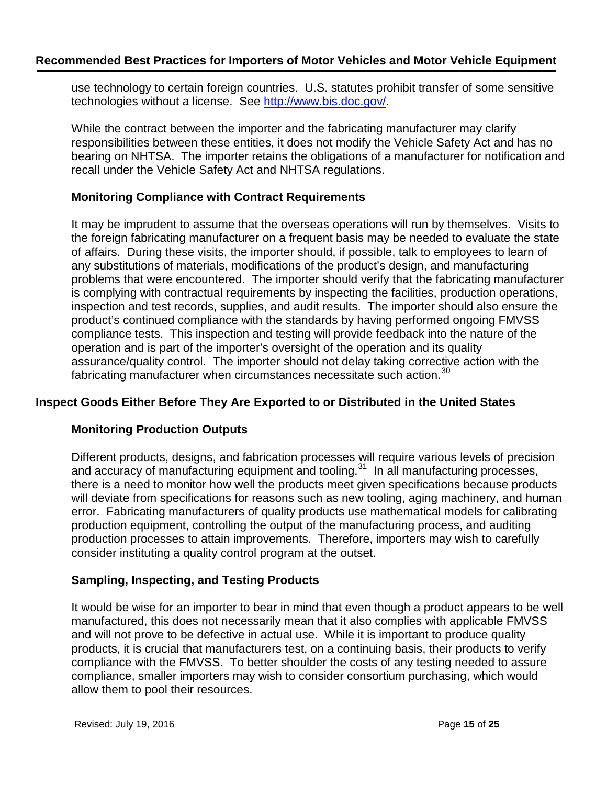use technology to certain foreign countries. U.S. statutes prohibit transfer of some sensitive technologies without a license. See [http://www.bis.doc.gov/.](http://www.bis.doc.gov/)

While the contract between the importer and the fabricating manufacturer may clarify responsibilities between these entities, it does not modify the Vehicle Safety Act and has no bearing on NHTSA. The importer retains the obligations of a manufacturer for notification and recall under the Vehicle Safety Act and NHTSA regulations.

### **Monitoring Compliance with Contract Requirements**

It may be imprudent to assume that the overseas operations will run by themselves. Visits to the foreign fabricating manufacturer on a frequent basis may be needed to evaluate the state of affairs. During these visits, the importer should, if possible, talk to employees to learn of any substitutions of materials, modifications of the product's design, and manufacturing problems that were encountered. The importer should verify that the fabricating manufacturer is complying with contractual requirements by inspecting the facilities, production operations, inspection and test records, supplies, and audit results. The importer should also ensure the product's continued compliance with the standards by having performed ongoing FMVSS compliance tests. This inspection and testing will provide feedback into the nature of the operation and is part of the importer's oversight of the operation and its quality assurance/quality control. The importer should not delay taking corrective action with the fabricating manufacturer when circumstances necessitate such action.<sup>[30](#page-24-23)</sup>

# **Inspect Goods Either Before They Are Exported to or Distributed in the United States**

### **Monitoring Production Outputs**

Different products, designs, and fabrication processes will require various levels of precision and accuracy of manufacturing equipment and tooling.<sup>[31](#page-24-24)</sup> In all manufacturing processes, there is a need to monitor how well the products meet given specifications because products will deviate from specifications for reasons such as new tooling, aging machinery, and human error. Fabricating manufacturers of quality products use mathematical models for calibrating production equipment, controlling the output of the manufacturing process, and auditing production processes to attain improvements. Therefore, importers may wish to carefully consider instituting a quality control program at the outset.

### **Sampling, Inspecting, and Testing Products**

It would be wise for an importer to bear in mind that even though a product appears to be well manufactured, this does not necessarily mean that it also complies with applicable FMVSS and will not prove to be defective in actual use. While it is important to produce quality products, it is crucial that manufacturers test, on a continuing basis, their products to verify compliance with the FMVSS. To better shoulder the costs of any testing needed to assure compliance, smaller importers may wish to consider consortium purchasing, which would allow them to pool their resources.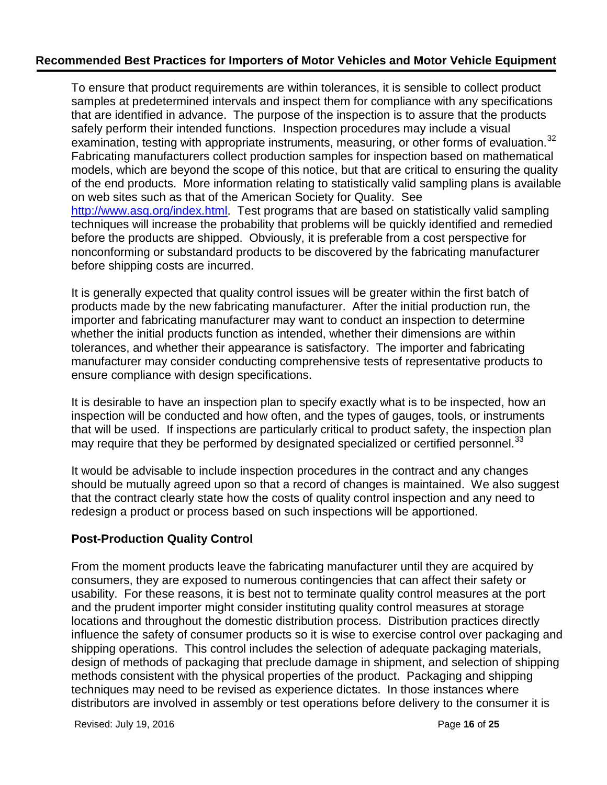To ensure that product requirements are within tolerances, it is sensible to collect product samples at predetermined intervals and inspect them for compliance with any specifications that are identified in advance. The purpose of the inspection is to assure that the products safely perform their intended functions. Inspection procedures may include a visual examination, testing with appropriate instruments, measuring, or other forms of evaluation.<sup>[32](#page-24-25)</sup> Fabricating manufacturers collect production samples for inspection based on mathematical models, which are beyond the scope of this notice, but that are critical to ensuring the quality of the end products. More information relating to statistically valid sampling plans is available on web sites such as that of the American Society for Quality. See [http://www.asq.org/index.html.](http://www.asq.org/index.html) Test programs that are based on statistically valid sampling techniques will increase the probability that problems will be quickly identified and remedied before the products are shipped. Obviously, it is preferable from a cost perspective for nonconforming or substandard products to be discovered by the fabricating manufacturer before shipping costs are incurred.

It is generally expected that quality control issues will be greater within the first batch of products made by the new fabricating manufacturer. After the initial production run, the importer and fabricating manufacturer may want to conduct an inspection to determine whether the initial products function as intended, whether their dimensions are within tolerances, and whether their appearance is satisfactory. The importer and fabricating manufacturer may consider conducting comprehensive tests of representative products to ensure compliance with design specifications.

It is desirable to have an inspection plan to specify exactly what is to be inspected, how an inspection will be conducted and how often, and the types of gauges, tools, or instruments that will be used. If inspections are particularly critical to product safety, the inspection plan may require that they be performed by designated specialized or certified personnel.<sup>[33](#page-24-26)</sup>

It would be advisable to include inspection procedures in the contract and any changes should be mutually agreed upon so that a record of changes is maintained. We also suggest that the contract clearly state how the costs of quality control inspection and any need to redesign a product or process based on such inspections will be apportioned.

# **Post-Production Quality Control**

From the moment products leave the fabricating manufacturer until they are acquired by consumers, they are exposed to numerous contingencies that can affect their safety or usability. For these reasons, it is best not to terminate quality control measures at the port and the prudent importer might consider instituting quality control measures at storage locations and throughout the domestic distribution process. Distribution practices directly influence the safety of consumer products so it is wise to exercise control over packaging and shipping operations. This control includes the selection of adequate packaging materials, design of methods of packaging that preclude damage in shipment, and selection of shipping methods consistent with the physical properties of the product. Packaging and shipping techniques may need to be revised as experience dictates. In those instances where distributors are involved in assembly or test operations before delivery to the consumer it is

Revised: July 19, 2016 Page **16** of **25**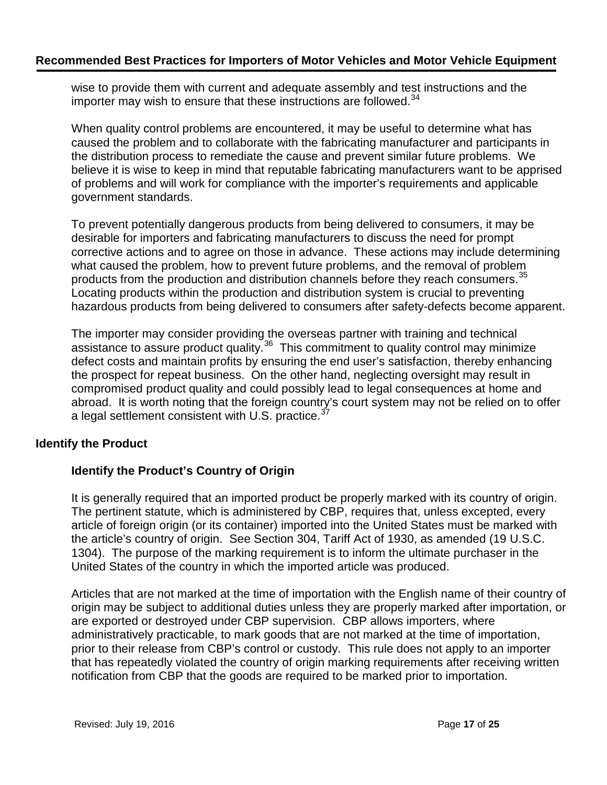wise to provide them with current and adequate assembly and test instructions and the importer may wish to ensure that these instructions are followed. $34$ 

When quality control problems are encountered, it may be useful to determine what has caused the problem and to collaborate with the fabricating manufacturer and participants in the distribution process to remediate the cause and prevent similar future problems. We believe it is wise to keep in mind that reputable fabricating manufacturers want to be apprised of problems and will work for compliance with the importer's requirements and applicable government standards.

To prevent potentially dangerous products from being delivered to consumers, it may be desirable for importers and fabricating manufacturers to discuss the need for prompt corrective actions and to agree on those in advance. These actions may include determining what caused the problem, how to prevent future problems, and the removal of problem products from the production and distribution channels before they reach consumers.<sup>[35](#page-24-27)</sup> Locating products within the production and distribution system is crucial to preventing hazardous products from being delivered to consumers after safety-defects become apparent.

The importer may consider providing the overseas partner with training and technical assistance to assure product quality.<sup>36</sup> This commitment to quality control may minimize defect costs and maintain profits by ensuring the end user's satisfaction, thereby enhancing the prospect for repeat business. On the other hand, neglecting oversight may result in compromised product quality and could possibly lead to legal consequences at home and abroad. It is worth noting that the foreign country's court system may not be relied on to offer a legal settlement consistent with U.S. practice.<sup>[37](#page-24-7)</sup>

# **Identify the Product**

# **Identify the Product's Country of Origin**

It is generally required that an imported product be properly marked with its country of origin. The pertinent statute, which is administered by CBP, requires that, unless excepted, every article of foreign origin (or its container) imported into the United States must be marked with the article's country of origin. See Section 304, Tariff Act of 1930, as amended (19 U.S.C. 1304). The purpose of the marking requirement is to inform the ultimate purchaser in the United States of the country in which the imported article was produced.

Articles that are not marked at the time of importation with the English name of their country of origin may be subject to additional duties unless they are properly marked after importation, or are exported or destroyed under CBP supervision. CBP allows importers, where administratively practicable, to mark goods that are not marked at the time of importation, prior to their release from CBP's control or custody. This rule does not apply to an importer that has repeatedly violated the country of origin marking requirements after receiving written notification from CBP that the goods are required to be marked prior to importation.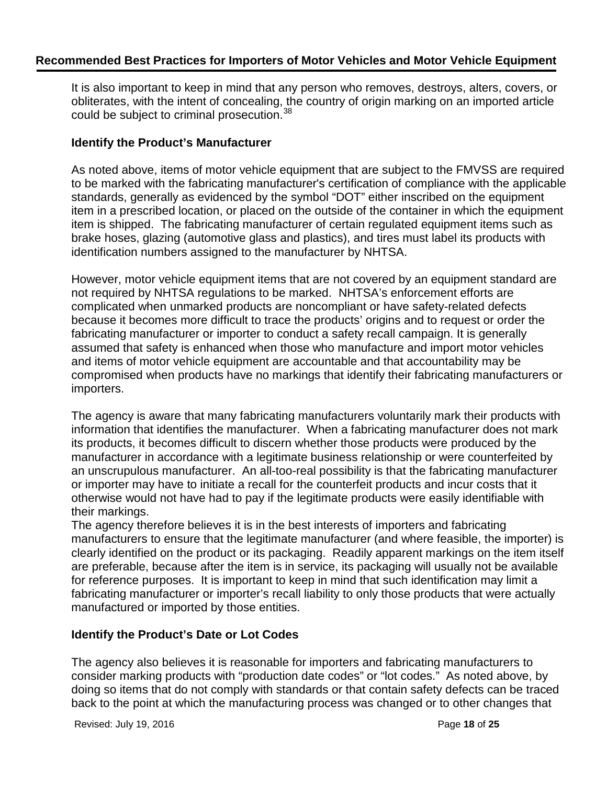It is also important to keep in mind that any person who removes, destroys, alters, covers, or obliterates, with the intent of concealing, the country of origin marking on an imported article could be subject to criminal prosecution.<sup>[38](#page-24-9)</sup>

#### **Identify the Product's Manufacturer**

As noted above, items of motor vehicle equipment that are subject to the FMVSS are required to be marked with the fabricating manufacturer's certification of compliance with the applicable standards, generally as evidenced by the symbol "DOT" either inscribed on the equipment item in a prescribed location, or placed on the outside of the container in which the equipment item is shipped. The fabricating manufacturer of certain regulated equipment items such as brake hoses, glazing (automotive glass and plastics), and tires must label its products with identification numbers assigned to the manufacturer by NHTSA.

However, motor vehicle equipment items that are not covered by an equipment standard are not required by NHTSA regulations to be marked. NHTSA's enforcement efforts are complicated when unmarked products are noncompliant or have safety-related defects because it becomes more difficult to trace the products' origins and to request or order the fabricating manufacturer or importer to conduct a safety recall campaign. It is generally assumed that safety is enhanced when those who manufacture and import motor vehicles and items of motor vehicle equipment are accountable and that accountability may be compromised when products have no markings that identify their fabricating manufacturers or importers.

The agency is aware that many fabricating manufacturers voluntarily mark their products with information that identifies the manufacturer. When a fabricating manufacturer does not mark its products, it becomes difficult to discern whether those products were produced by the manufacturer in accordance with a legitimate business relationship or were counterfeited by an unscrupulous manufacturer. An all-too-real possibility is that the fabricating manufacturer or importer may have to initiate a recall for the counterfeit products and incur costs that it otherwise would not have had to pay if the legitimate products were easily identifiable with their markings.

The agency therefore believes it is in the best interests of importers and fabricating manufacturers to ensure that the legitimate manufacturer (and where feasible, the importer) is clearly identified on the product or its packaging. Readily apparent markings on the item itself are preferable, because after the item is in service, its packaging will usually not be available for reference purposes. It is important to keep in mind that such identification may limit a fabricating manufacturer or importer's recall liability to only those products that were actually manufactured or imported by those entities.

### **Identify the Product's Date or Lot Codes**

The agency also believes it is reasonable for importers and fabricating manufacturers to consider marking products with "production date codes" or "lot codes." As noted above, by doing so items that do not comply with standards or that contain safety defects can be traced back to the point at which the manufacturing process was changed or to other changes that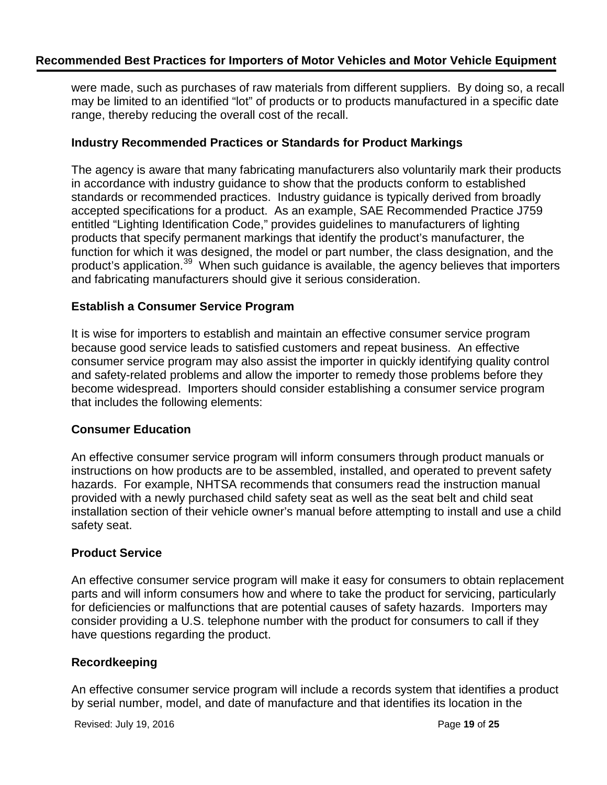were made, such as purchases of raw materials from different suppliers. By doing so, a recall may be limited to an identified "lot" of products or to products manufactured in a specific date range, thereby reducing the overall cost of the recall.

#### **Industry Recommended Practices or Standards for Product Markings**

The agency is aware that many fabricating manufacturers also voluntarily mark their products in accordance with industry guidance to show that the products conform to established standards or recommended practices. Industry guidance is typically derived from broadly accepted specifications for a product. As an example, SAE Recommended Practice J759 entitled "Lighting Identification Code," provides guidelines to manufacturers of lighting products that specify permanent markings that identify the product's manufacturer, the function for which it was designed, the model or part number, the class designation, and the product's application.<sup>[39](#page-24-29)</sup> When such guidance is available, the agency believes that importers and fabricating manufacturers should give it serious consideration.

#### **Establish a Consumer Service Program**

It is wise for importers to establish and maintain an effective consumer service program because good service leads to satisfied customers and repeat business. An effective consumer service program may also assist the importer in quickly identifying quality control and safety-related problems and allow the importer to remedy those problems before they become widespread. Importers should consider establishing a consumer service program that includes the following elements:

#### **Consumer Education**

An effective consumer service program will inform consumers through product manuals or instructions on how products are to be assembled, installed, and operated to prevent safety hazards. For example, NHTSA recommends that consumers read the instruction manual provided with a newly purchased child safety seat as well as the seat belt and child seat installation section of their vehicle owner's manual before attempting to install and use a child safety seat.

### **Product Service**

An effective consumer service program will make it easy for consumers to obtain replacement parts and will inform consumers how and where to take the product for servicing, particularly for deficiencies or malfunctions that are potential causes of safety hazards. Importers may consider providing a U.S. telephone number with the product for consumers to call if they have questions regarding the product.

### **Recordkeeping**

An effective consumer service program will include a records system that identifies a product by serial number, model, and date of manufacture and that identifies its location in the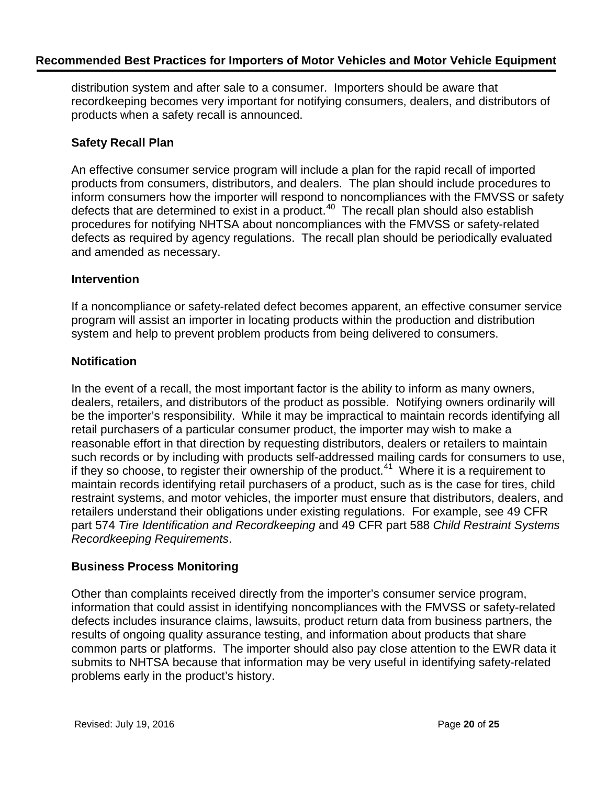distribution system and after sale to a consumer. Importers should be aware that recordkeeping becomes very important for notifying consumers, dealers, and distributors of products when a safety recall is announced.

## **Safety Recall Plan**

An effective consumer service program will include a plan for the rapid recall of imported products from consumers, distributors, and dealers. The plan should include procedures to inform consumers how the importer will respond to noncompliances with the FMVSS or safety defects that are determined to exist in a product.<sup>[40](#page-24-30)</sup> The recall plan should also establish procedures for notifying NHTSA about noncompliances with the FMVSS or safety-related defects as required by agency regulations. The recall plan should be periodically evaluated and amended as necessary.

### **Intervention**

If a noncompliance or safety-related defect becomes apparent, an effective consumer service program will assist an importer in locating products within the production and distribution system and help to prevent problem products from being delivered to consumers.

## **Notification**

In the event of a recall, the most important factor is the ability to inform as many owners, dealers, retailers, and distributors of the product as possible. Notifying owners ordinarily will be the importer's responsibility. While it may be impractical to maintain records identifying all retail purchasers of a particular consumer product, the importer may wish to make a reasonable effort in that direction by requesting distributors, dealers or retailers to maintain such records or by including with products self-addressed mailing cards for consumers to use, if they so choose, to register their ownership of the product.<sup>[41](#page-24-31)</sup> Where it is a requirement to maintain records identifying retail purchasers of a product, such as is the case for tires, child restraint systems, and motor vehicles, the importer must ensure that distributors, dealers, and retailers understand their obligations under existing regulations. For example, see 49 CFR part 574 *Tire Identification and Recordkeeping* and 49 CFR part 588 *Child Restraint Systems Recordkeeping Requirements*.

# **Business Process Monitoring**

Other than complaints received directly from the importer's consumer service program, information that could assist in identifying noncompliances with the FMVSS or safety-related defects includes insurance claims, lawsuits, product return data from business partners, the results of ongoing quality assurance testing, and information about products that share common parts or platforms. The importer should also pay close attention to the EWR data it submits to NHTSA because that information may be very useful in identifying safety-related problems early in the product's history.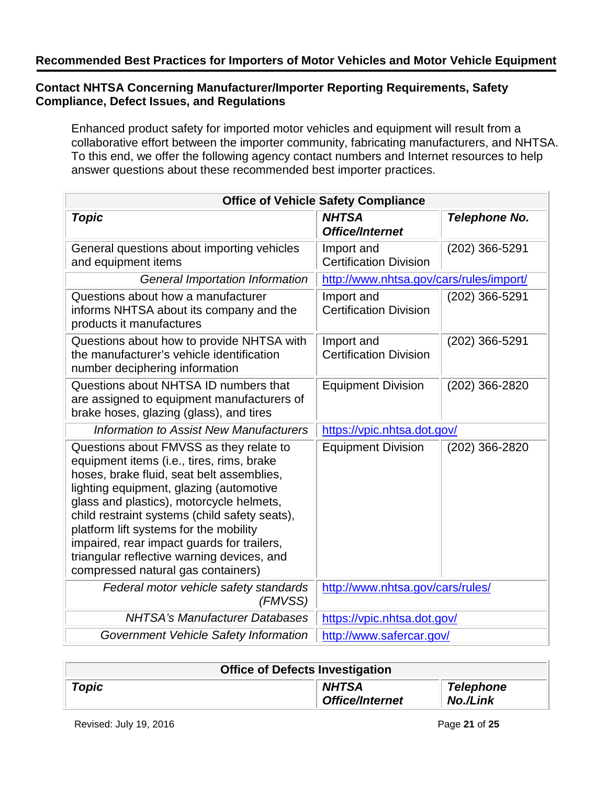# **Contact NHTSA Concerning Manufacturer/Importer Reporting Requirements, Safety Compliance, Defect Issues, and Regulations**

Enhanced product safety for imported motor vehicles and equipment will result from a collaborative effort between the importer community, fabricating manufacturers, and NHTSA. To this end, we offer the following agency contact numbers and Internet resources to help answer questions about these recommended best importer practices.

| <b>Office of Vehicle Safety Compliance</b>                                                                                                                                                                                                                                                                                                                                                                                                            |                                             |                      |  |  |
|-------------------------------------------------------------------------------------------------------------------------------------------------------------------------------------------------------------------------------------------------------------------------------------------------------------------------------------------------------------------------------------------------------------------------------------------------------|---------------------------------------------|----------------------|--|--|
| <b>Topic</b>                                                                                                                                                                                                                                                                                                                                                                                                                                          | <b>NHTSA</b><br><b>Office/Internet</b>      | <b>Telephone No.</b> |  |  |
| General questions about importing vehicles<br>and equipment items                                                                                                                                                                                                                                                                                                                                                                                     | Import and<br><b>Certification Division</b> | (202) 366-5291       |  |  |
| <b>General Importation Information</b>                                                                                                                                                                                                                                                                                                                                                                                                                | http://www.nhtsa.gov/cars/rules/import/     |                      |  |  |
| Questions about how a manufacturer<br>informs NHTSA about its company and the<br>products it manufactures                                                                                                                                                                                                                                                                                                                                             | Import and<br><b>Certification Division</b> | (202) 366-5291       |  |  |
| Questions about how to provide NHTSA with<br>the manufacturer's vehicle identification<br>number deciphering information                                                                                                                                                                                                                                                                                                                              | Import and<br><b>Certification Division</b> | (202) 366-5291       |  |  |
| Questions about NHTSA ID numbers that<br>are assigned to equipment manufacturers of<br>brake hoses, glazing (glass), and tires                                                                                                                                                                                                                                                                                                                        | <b>Equipment Division</b>                   | $(202)$ 366-2820     |  |  |
| Information to Assist New Manufacturers                                                                                                                                                                                                                                                                                                                                                                                                               | https://vpic.nhtsa.dot.gov/                 |                      |  |  |
| Questions about FMVSS as they relate to<br>equipment items (i.e., tires, rims, brake<br>hoses, brake fluid, seat belt assemblies,<br>lighting equipment, glazing (automotive<br>glass and plastics), motorcycle helmets,<br>child restraint systems (child safety seats),<br>platform lift systems for the mobility<br>impaired, rear impact guards for trailers,<br>triangular reflective warning devices, and<br>compressed natural gas containers) | <b>Equipment Division</b>                   | (202) 366-2820       |  |  |
| Federal motor vehicle safety standards<br>(FMVSS)                                                                                                                                                                                                                                                                                                                                                                                                     | http://www.nhtsa.gov/cars/rules/            |                      |  |  |
| <b>NHTSA's Manufacturer Databases</b>                                                                                                                                                                                                                                                                                                                                                                                                                 | https://vpic.nhtsa.dot.gov/                 |                      |  |  |
| Government Vehicle Safety Information                                                                                                                                                                                                                                                                                                                                                                                                                 | http://www.safercar.gov/                    |                      |  |  |

| <b>Office of Defects Investigation</b> |                                        |                              |  |
|----------------------------------------|----------------------------------------|------------------------------|--|
| Topic                                  | <b>NHTSA</b><br><b>Office/Internet</b> | <b>Telephone</b><br>No./Link |  |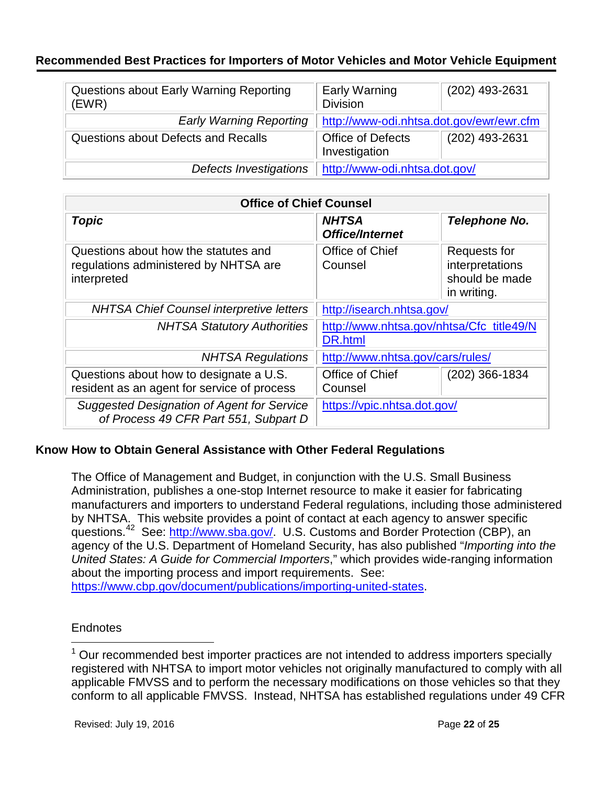| Questions about Early Warning Reporting<br>(EWR) | <b>Early Warning</b><br><b>Division</b>  | (202) 493-2631 |
|--------------------------------------------------|------------------------------------------|----------------|
| <b>Early Warning Reporting</b>                   | http://www-odi.nhtsa.dot.gov/ewr/ewr.cfm |                |
| Questions about Defects and Recalls              | Office of Defects<br>Investigation       | (202) 493-2631 |
| Defects Investigations                           | http://www-odi.nhtsa.dot.gov/            |                |

| <b>Office of Chief Counsel</b>                                                               |                                                     |                                                                  |  |  |
|----------------------------------------------------------------------------------------------|-----------------------------------------------------|------------------------------------------------------------------|--|--|
| <b>Topic</b>                                                                                 | <b>NHTSA</b><br><b>Office/Internet</b>              | <b>Telephone No.</b>                                             |  |  |
| Questions about how the statutes and<br>regulations administered by NHTSA are<br>interpreted | Office of Chief<br>Counsel                          | Requests for<br>interpretations<br>should be made<br>in writing. |  |  |
| <b>NHTSA Chief Counsel interpretive letters</b>                                              | http://isearch.nhtsa.gov/                           |                                                                  |  |  |
| <b>NHTSA Statutory Authorities</b>                                                           | http://www.nhtsa.gov/nhtsa/Cfc title49/N<br>DR.html |                                                                  |  |  |
| <b>NHTSA Regulations</b>                                                                     | http://www.nhtsa.gov/cars/rules/                    |                                                                  |  |  |
| Questions about how to designate a U.S.<br>resident as an agent for service of process       | Office of Chief<br>Counsel                          | (202) 366-1834                                                   |  |  |
| <b>Suggested Designation of Agent for Service</b><br>of Process 49 CFR Part 551, Subpart D   | https://vpic.nhtsa.dot.gov/                         |                                                                  |  |  |

### **Know How to Obtain General Assistance with Other Federal Regulations**

The Office of Management and Budget, in conjunction with the U.S. Small Business Administration, publishes a one-stop Internet resource to make it easier for fabricating manufacturers and importers to understand Federal regulations, including those administered by NHTSA. This website provides a point of contact at each agency to answer specific questions.[42](#page-24-10) See: [http://www.sba.gov/.](http://www.sba.gov/) U.S. Customs and Border Protection (CBP), an agency of the U.S. Department of Homeland Security, has also published "*Importing into the United States: A Guide for Commercial Importers*," which provides wide-ranging information about the importing process and import requirements. See: [https://www.cbp.gov/document/publications/importing-united-states.](https://www.cbp.gov/document/publications/importing-united-states)

### **Endnotes**

 $1$  Our recommended best importer practices are not intended to address importers specially registered with NHTSA to import motor vehicles not originally manufactured to comply with all applicable FMVSS and to perform the necessary modifications on those vehicles so that they conform to all applicable FMVSS. Instead, NHTSA has established regulations under 49 CFR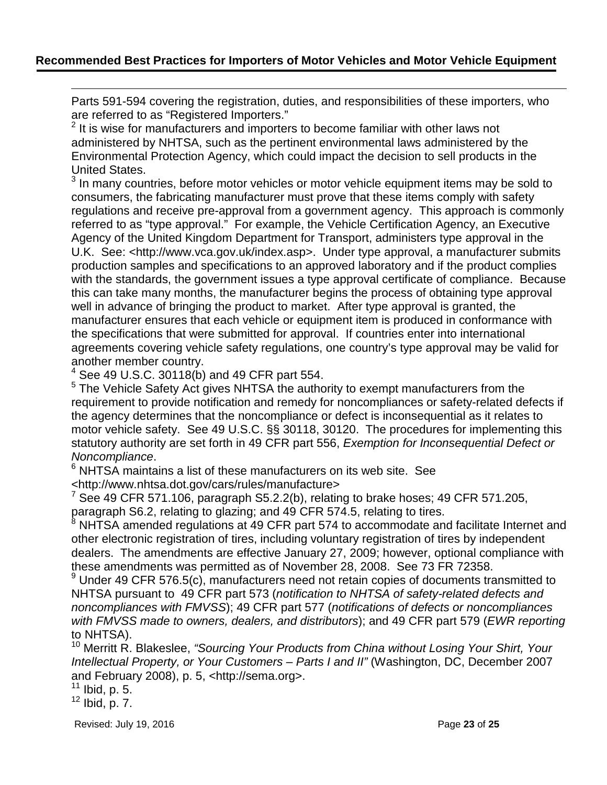Parts 591-594 covering the registration, duties, and responsibilities of these importers, who are referred to as "Registered Importers."

<span id="page-22-1"></span> $2$  It is wise for manufacturers and importers to become familiar with other laws not administered by NHTSA, such as the pertinent environmental laws administered by the Environmental Protection Agency, which could impact the decision to sell products in the United States.

 $3$  In many countries, before motor vehicles or motor vehicle equipment items may be sold to consumers, the fabricating manufacturer must prove that these items comply with safety regulations and receive pre-approval from a government agency. This approach is commonly referred to as "type approval." For example, the Vehicle Certification Agency, an Executive Agency of the United Kingdom Department for Transport, administers type approval in the U.K. See: <http://www.vca.gov.uk/index.asp>. Under type approval, a manufacturer submits production samples and specifications to an approved laboratory and if the product complies with the standards, the government issues a type approval certificate of compliance. Because this can take many months, the manufacturer begins the process of obtaining type approval well in advance of bringing the product to market. After type approval is granted, the manufacturer ensures that each vehicle or equipment item is produced in conformance with the specifications that were submitted for approval. If countries enter into international agreements covering vehicle safety regulations, one country's type approval may be valid for another member country.

 $4$  See 49 U.S.C. 30118(b) and 49 CFR part 554.

<sup>5</sup> The Vehicle Safety Act gives NHTSA the authority to exempt manufacturers from the requirement to provide notification and remedy for noncompliances or safety-related defects if the agency determines that the noncompliance or defect is inconsequential as it relates to motor vehicle safety. See 49 U.S.C. §§ 30118, 30120. The procedures for implementing this statutory authority are set forth in 49 CFR part 556, *Exemption for Inconsequential Defect or* 

*Noncompliance*.<br><sup>6</sup> NHTSA maintains a list of these manufacturers on its web site. See <http://www.nhtsa.dot.gov/cars/rules/manufacture>

 $\frac{7}{1}$  See 49 CFR 571.106, paragraph S5.2.2(b), relating to brake hoses; 49 CFR 571.205, paragraph S6.2, relating to glazing; and 49 CFR 574.5, relating to tires.

<sup>8</sup> NHTSA amended regulations at 49 CFR part 574 to accommodate and facilitate Internet and other electronic registration of tires, including voluntary registration of tires by independent dealers. The amendments are effective January 27, 2009; however, optional compliance with these amendments was permitted as of November 28, 2008. See 73 FR 72358.

 $9$  Under 49 CFR 576.5(c), manufacturers need not retain copies of documents transmitted to NHTSA pursuant to 49 CFR part 573 (*notification to NHTSA of safety-related defects and noncompliances with FMVSS*); 49 CFR part 577 (*notifications of defects or noncompliances with FMVSS made to owners, dealers, and distributors*); and 49 CFR part 579 (*EWR reporting* to NHTSA).

<span id="page-22-0"></span><sup>10</sup> Merritt R. Blakeslee, "Sourcing Your Products from China without Losing Your Shirt, Your *Intellectual Property, or Your Customers – Parts I and II"* (Washington, DC, December 2007 and February 2008), p. 5, <http://sema.org>.

 $11$  Ibid, p. 5.

 $\overline{a}$ 

 $12$  Ibid, p. 7.

Revised: July 19, 2016 **Page 23** of **25 Page 23** of **25**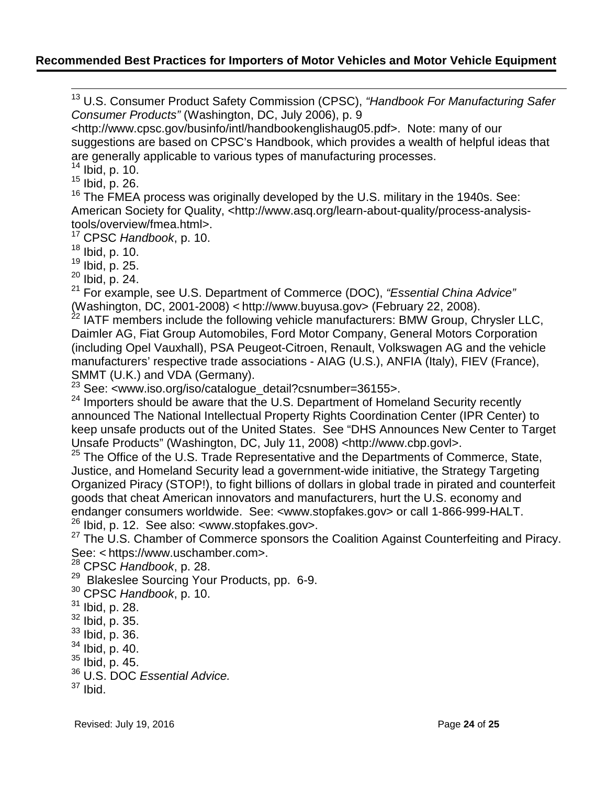<sup>13</sup> U.S. Consumer Product Safety Commission (CPSC), *"Handbook For Manufacturing Safer Consumer Products"* (Washington, DC, July 2006), p. 9

<http://www.cpsc.gov/businfo/intl/handbookenglishaug05.pdf>. Note: many of our suggestions are based on CPSC's Handbook, which provides a wealth of helpful ideas that are generally applicable to various types of manufacturing processes.

 $14$  Ibid, p. 10.

<span id="page-23-0"></span> $15$  Ibid, p. 26.

<sup>16</sup> The FMEA process was originally developed by the U.S. military in the 1940s. See: American Society for Quality, <http://www.asq.org/learn-about-quality/process-analysistools/overview/fmea.html>.

<sup>17</sup> CPSC *Handbook*, p. 10.

<sup>18</sup> Ibid, p. 10.

<sup>19</sup> Ibid, p. 25.

<sup>20</sup> Ibid, p. 24.

<sup>21</sup> For example, see U.S. Department of Commerce (DOC), *"Essential China Advice"* (Washington, DC, 2001-2008) < http://www.buyusa.gov> (February 22, 2008).

 $^{22}$  IATF members include the following vehicle manufacturers: BMW Group, Chrysler LLC, Daimler AG, Fiat Group Automobiles, Ford Motor Company, General Motors Corporation (including Opel Vauxhall), PSA Peugeot-Citroen, Renault, Volkswagen AG and the vehicle manufacturers' respective trade associations - AIAG (U.S.), ANFIA (Italy), FIEV (France), SMMT (U.K.) and VDA (Germany).<br><sup>23</sup> See: <www.iso.org/iso/catalogue\_detail?csnumber=36155>.

<sup>24</sup> Importers should be aware that the U.S. Department of Homeland Security recently announced The National Intellectual Property Rights Coordination Center (IPR Center) to keep unsafe products out of the United States. See "DHS Announces New Center to Target Unsafe Products" (Washington, DC, July 11, 2008) <http://www.cbp.govl>.

25 The Office of the U.S. Trade Representative and the Departments of Commerce, State, Justice, and Homeland Security lead a government-wide initiative, the Strategy Targeting Organized Piracy (STOP!), to fight billions of dollars in global trade in pirated and counterfeit goods that cheat American innovators and manufacturers, hurt the U.S. economy and endanger consumers worldwide. See: <www.stopfakes.gov> or call 1-866-999-HALT. <sup>26</sup> Ibid, p. 12. See also: <www.stopfakes.gov>.

<sup>27</sup> The U.S. Chamber of Commerce sponsors the Coalition Against Counterfeiting and Piracy. See: < https://www.uschamber.com>.

<sup>28</sup> CPSC *Handbook*, p. 28.

<sup>29</sup> Blakeslee Sourcing Your Products, pp. 6-9.

<sup>30</sup> CPSC *Handbook*, p. 10.

- <sup>31</sup> Ibid, p. 28.
- <sup>32</sup> Ibid, p. 35.
- <sup>33</sup> Ibid, p. 36.
- $34$  Ibid, p. 40.
- $35$  Ibid, p. 45.
- <sup>36</sup> U.S. DOC *Essential Advice.*
- $37$  Ibid.